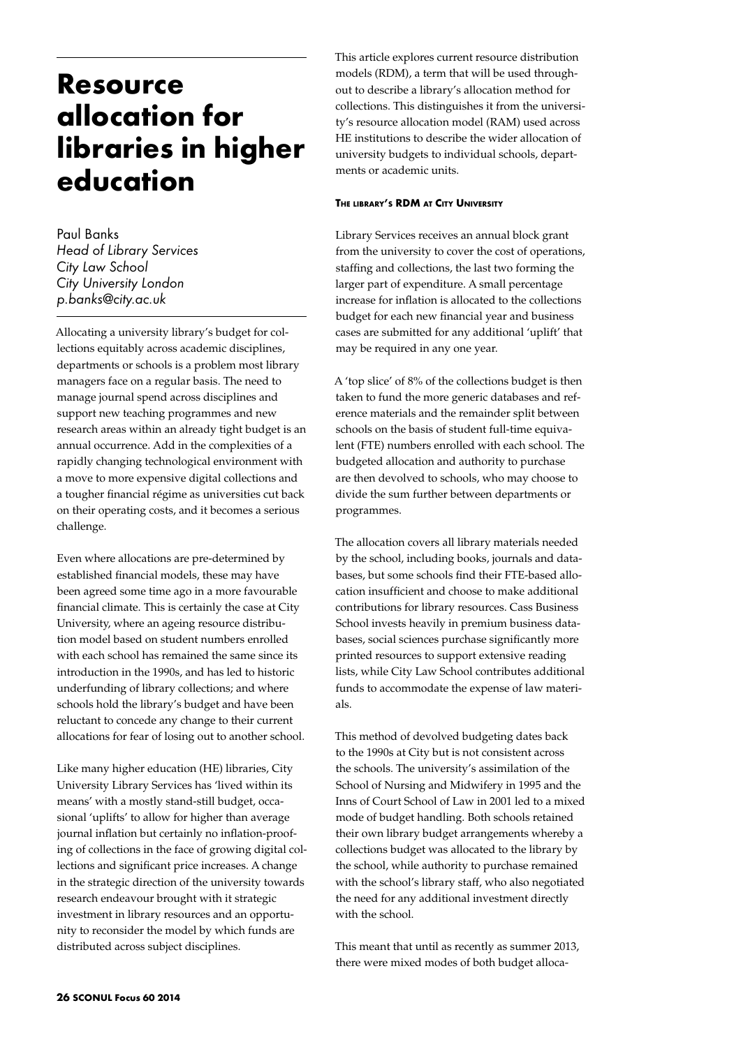# **Resource allocation for libraries in higher education**

Paul Banks *Head of Library Services City Law School City University London p.banks@city.ac.uk*

Allocating a university library's budget for collections equitably across academic disciplines, departments or schools is a problem most library managers face on a regular basis. The need to manage journal spend across disciplines and support new teaching programmes and new research areas within an already tight budget is an annual occurrence. Add in the complexities of a rapidly changing technological environment with a move to more expensive digital collections and a tougher financial régime as universities cut back on their operating costs, and it becomes a serious challenge.

Even where allocations are pre-determined by established financial models, these may have been agreed some time ago in a more favourable financial climate. This is certainly the case at City University, where an ageing resource distribution model based on student numbers enrolled with each school has remained the same since its introduction in the 1990s, and has led to historic underfunding of library collections; and where schools hold the library's budget and have been reluctant to concede any change to their current allocations for fear of losing out to another school.

Like many higher education (HE) libraries, City University Library Services has 'lived within its means' with a mostly stand-still budget, occasional 'uplifts' to allow for higher than average journal inflation but certainly no inflation-proofing of collections in the face of growing digital collections and significant price increases. A change in the strategic direction of the university towards research endeavour brought with it strategic investment in library resources and an opportunity to reconsider the model by which funds are distributed across subject disciplines.

This article explores current resource distribution models (RDM), a term that will be used throughout to describe a library's allocation method for collections. This distinguishes it from the university's resource allocation model (RAM) used across HE institutions to describe the wider allocation of university budgets to individual schools, departments or academic units.

## **The library's RDM at City University**

Library Services receives an annual block grant from the university to cover the cost of operations, staffing and collections, the last two forming the larger part of expenditure. A small percentage increase for inflation is allocated to the collections budget for each new financial year and business cases are submitted for any additional 'uplift' that may be required in any one year.

A 'top slice' of 8% of the collections budget is then taken to fund the more generic databases and reference materials and the remainder split between schools on the basis of student full-time equivalent (FTE) numbers enrolled with each school. The budgeted allocation and authority to purchase are then devolved to schools, who may choose to divide the sum further between departments or programmes.

The allocation covers all library materials needed by the school, including books, journals and databases, but some schools find their FTE-based allocation insufficient and choose to make additional contributions for library resources. Cass Business School invests heavily in premium business databases, social sciences purchase significantly more printed resources to support extensive reading lists, while City Law School contributes additional funds to accommodate the expense of law materials.

This method of devolved budgeting dates back to the 1990s at City but is not consistent across the schools. The university's assimilation of the School of Nursing and Midwifery in 1995 and the Inns of Court School of Law in 2001 led to a mixed mode of budget handling. Both schools retained their own library budget arrangements whereby a collections budget was allocated to the library by the school, while authority to purchase remained with the school's library staff, who also negotiated the need for any additional investment directly with the school.

This meant that until as recently as summer 2013, there were mixed modes of both budget alloca-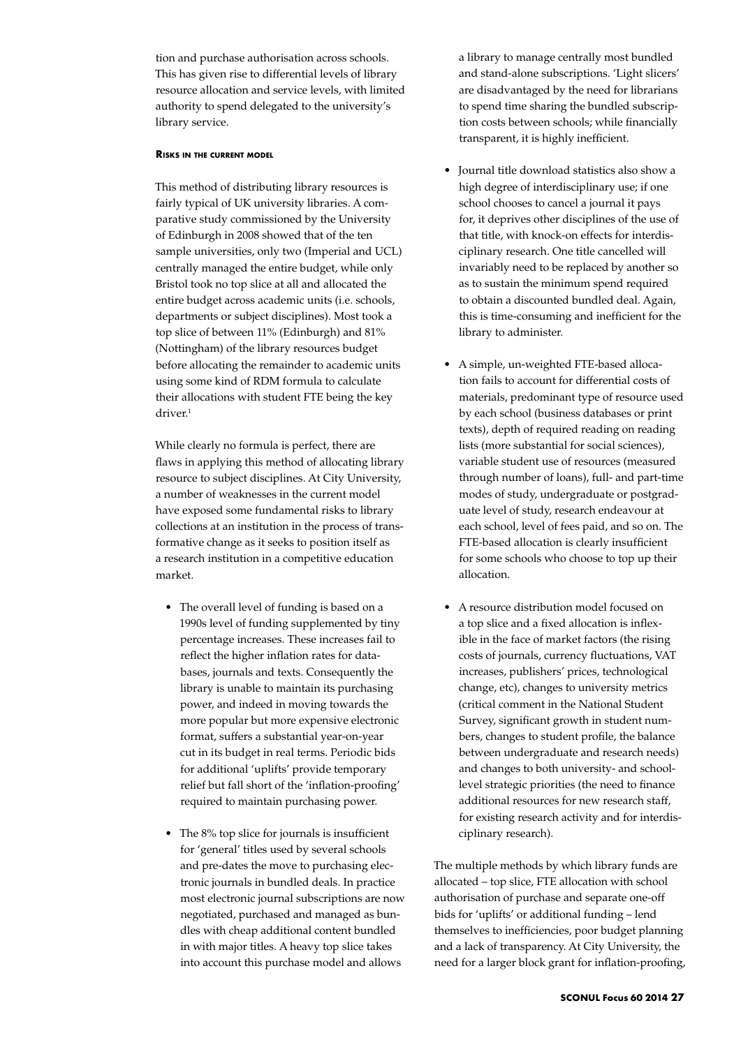tion and purchase authorisation across schools. This has given rise to differential levels of library resource allocation and service levels, with limited authority to spend delegated to the university's library service.

## **Risks in the current model**

This method of distributing library resources is fairly typical of UK university libraries. A comparative study commissioned by the University of Edinburgh in 2008 showed that of the ten sample universities, only two (Imperial and UCL) centrally managed the entire budget, while only Bristol took no top slice at all and allocated the entire budget across academic units (i.e. schools, departments or subject disciplines). Most took a top slice of between 11% (Edinburgh) and 81% (Nottingham) of the library resources budget before allocating the remainder to academic units using some kind of RDM formula to calculate their allocations with student FTE being the key driver.<sup>1</sup>

While clearly no formula is perfect, there are flaws in applying this method of allocating library resource to subject disciplines. At City University, a number of weaknesses in the current model have exposed some fundamental risks to library collections at an institution in the process of transformative change as it seeks to position itself as a research institution in a competitive education market.

- The overall level of funding is based on a 1990s level of funding supplemented by tiny percentage increases. These increases fail to reflect the higher inflation rates for databases, journals and texts. Consequently the library is unable to maintain its purchasing power, and indeed in moving towards the more popular but more expensive electronic format, suffers a substantial year-on-year cut in its budget in real terms. Periodic bids for additional 'uplifts' provide temporary relief but fall short of the 'inflation-proofing' required to maintain purchasing power.
- The 8% top slice for journals is insufficient for 'general' titles used by several schools and pre-dates the move to purchasing electronic journals in bundled deals. In practice most electronic journal subscriptions are now negotiated, purchased and managed as bundles with cheap additional content bundled in with major titles. A heavy top slice takes into account this purchase model and allows

a library to manage centrally most bundled and stand-alone subscriptions. 'Light slicers' are disadvantaged by the need for librarians to spend time sharing the bundled subscription costs between schools; while financially transparent, it is highly inefficient.

- • Journal title download statistics also show a high degree of interdisciplinary use; if one school chooses to cancel a journal it pays for, it deprives other disciplines of the use of that title, with knock-on effects for interdisciplinary research. One title cancelled will invariably need to be replaced by another so as to sustain the minimum spend required to obtain a discounted bundled deal. Again, this is time-consuming and inefficient for the library to administer.
- • A simple, un-weighted FTE-based allocation fails to account for differential costs of materials, predominant type of resource used by each school (business databases or print texts), depth of required reading on reading lists (more substantial for social sciences), variable student use of resources (measured through number of loans), full- and part-time modes of study, undergraduate or postgraduate level of study, research endeavour at each school, level of fees paid, and so on. The FTE-based allocation is clearly insufficient for some schools who choose to top up their allocation.
- • A resource distribution model focused on a top slice and a fixed allocation is inflexible in the face of market factors (the rising costs of journals, currency fluctuations, VAT increases, publishers' prices, technological change, etc), changes to university metrics (critical comment in the National Student Survey, significant growth in student numbers, changes to student profile, the balance between undergraduate and research needs) and changes to both university- and schoollevel strategic priorities (the need to finance additional resources for new research staff, for existing research activity and for interdisciplinary research).

The multiple methods by which library funds are allocated – top slice, FTE allocation with school authorisation of purchase and separate one-off bids for 'uplifts' or additional funding – lend themselves to inefficiencies, poor budget planning and a lack of transparency. At City University, the need for a larger block grant for inflation-proofing,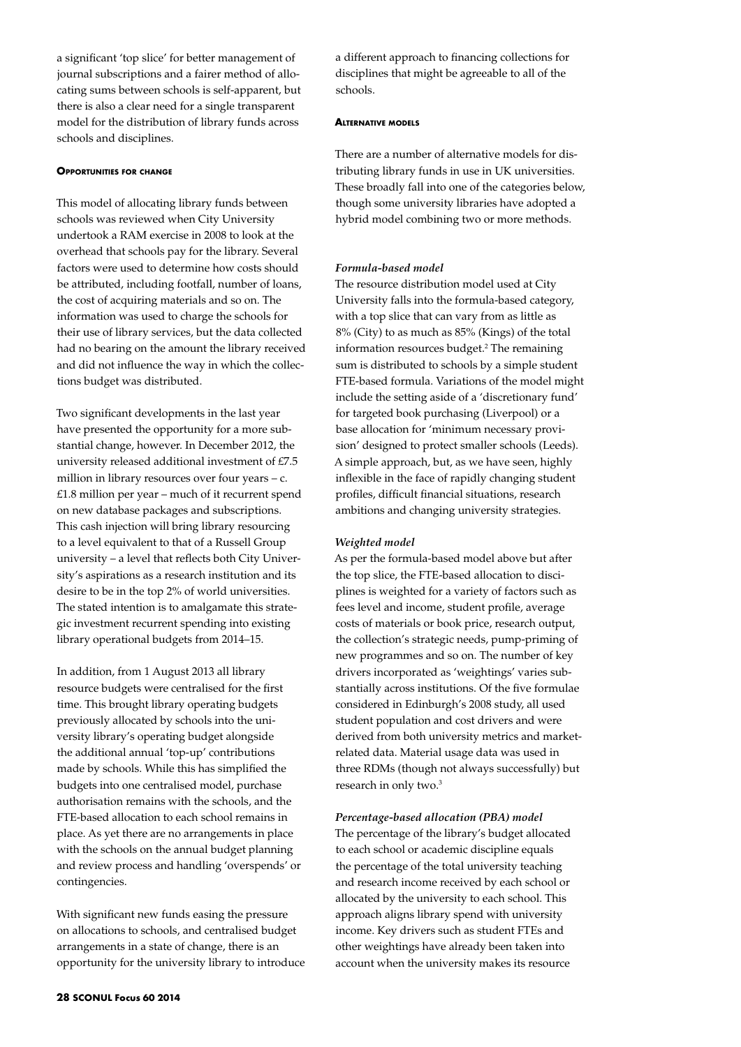a significant 'top slice' for better management of journal subscriptions and a fairer method of allocating sums between schools is self-apparent, but there is also a clear need for a single transparent model for the distribution of library funds across schools and disciplines.

# **Opportunities for change**

This model of allocating library funds between schools was reviewed when City University undertook a RAM exercise in 2008 to look at the overhead that schools pay for the library. Several factors were used to determine how costs should be attributed, including footfall, number of loans, the cost of acquiring materials and so on. The information was used to charge the schools for their use of library services, but the data collected had no bearing on the amount the library received and did not influence the way in which the collections budget was distributed.

Two significant developments in the last year have presented the opportunity for a more substantial change, however. In December 2012, the university released additional investment of £7.5 million in library resources over four years – c.  $£1.8$  million per year – much of it recurrent spend on new database packages and subscriptions. This cash injection will bring library resourcing to a level equivalent to that of a Russell Group university – a level that reflects both City University's aspirations as a research institution and its desire to be in the top 2% of world universities. The stated intention is to amalgamate this strategic investment recurrent spending into existing library operational budgets from 2014–15.

In addition, from 1 August 2013 all library resource budgets were centralised for the first time. This brought library operating budgets previously allocated by schools into the university library's operating budget alongside the additional annual 'top-up' contributions made by schools. While this has simplified the budgets into one centralised model, purchase authorisation remains with the schools, and the FTE-based allocation to each school remains in place. As yet there are no arrangements in place with the schools on the annual budget planning and review process and handling 'overspends' or contingencies.

With significant new funds easing the pressure on allocations to schools, and centralised budget arrangements in a state of change, there is an opportunity for the university library to introduce

a different approach to financing collections for disciplines that might be agreeable to all of the schools.

#### **Alternative models**

There are a number of alternative models for distributing library funds in use in UK universities. These broadly fall into one of the categories below, though some university libraries have adopted a hybrid model combining two or more methods.

#### *Formula-based model*

The resource distribution model used at City University falls into the formula-based category, with a top slice that can vary from as little as 8% (City) to as much as 85% (Kings) of the total information resources budget.<sup>2</sup> The remaining sum is distributed to schools by a simple student FTE-based formula. Variations of the model might include the setting aside of a 'discretionary fund' for targeted book purchasing (Liverpool) or a base allocation for 'minimum necessary provision' designed to protect smaller schools (Leeds). A simple approach, but, as we have seen, highly inflexible in the face of rapidly changing student profiles, difficult financial situations, research ambitions and changing university strategies.

#### *Weighted model*

As per the formula-based model above but after the top slice, the FTE-based allocation to disciplines is weighted for a variety of factors such as fees level and income, student profile, average costs of materials or book price, research output, the collection's strategic needs, pump-priming of new programmes and so on. The number of key drivers incorporated as 'weightings' varies substantially across institutions. Of the five formulae considered in Edinburgh's 2008 study, all used student population and cost drivers and were derived from both university metrics and marketrelated data. Material usage data was used in three RDMs (though not always successfully) but research in only two.3

#### *Percentage-based allocation (PBA) model*

The percentage of the library's budget allocated to each school or academic discipline equals the percentage of the total university teaching and research income received by each school or allocated by the university to each school. This approach aligns library spend with university income. Key drivers such as student FTEs and other weightings have already been taken into account when the university makes its resource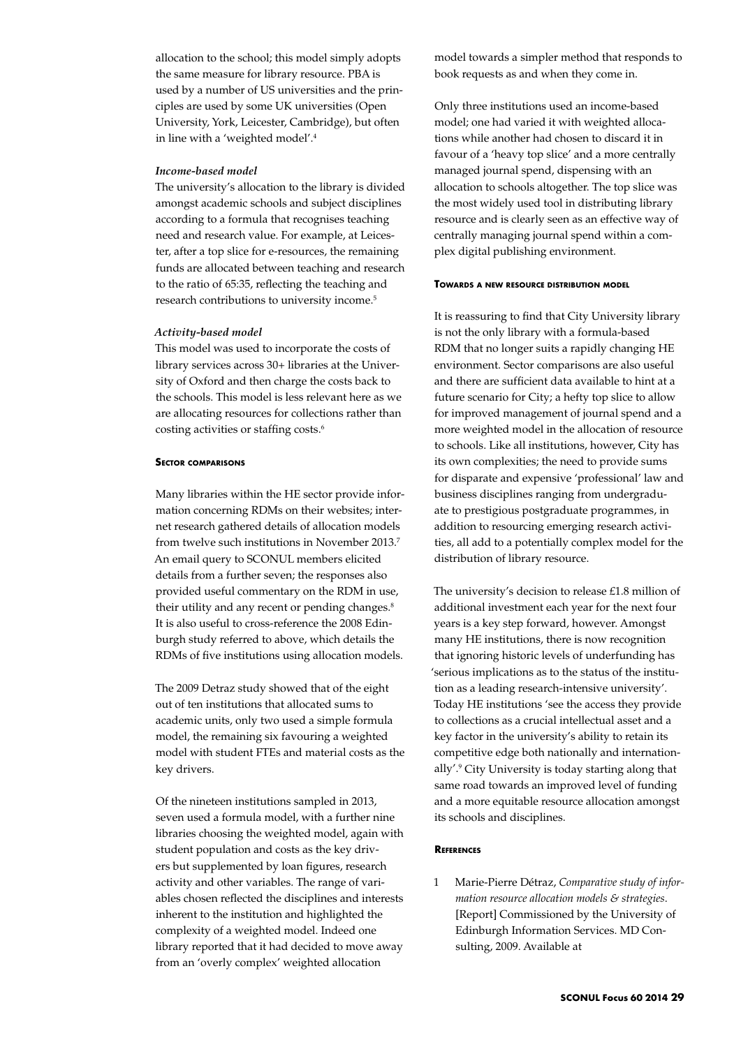allocation to the school; this model simply adopts the same measure for library resource. PBA is used by a number of US universities and the principles are used by some UK universities (Open University, York, Leicester, Cambridge), but often in line with a 'weighted model'.4

## *Income-based model*

The university's allocation to the library is divided amongst academic schools and subject disciplines according to a formula that recognises teaching need and research value. For example, at Leicester, after a top slice for e-resources, the remaining funds are allocated between teaching and research to the ratio of 65:35, reflecting the teaching and research contributions to university income.<sup>5</sup>

## *Activity-based model*

This model was used to incorporate the costs of library services across 30+ libraries at the University of Oxford and then charge the costs back to the schools. This model is less relevant here as we are allocating resources for collections rather than costing activities or staffing costs.6

## **Sector comparisons**

Many libraries within the HE sector provide information concerning RDMs on their websites; internet research gathered details of allocation models from twelve such institutions in November 2013.7 An email query to SCONUL members elicited details from a further seven; the responses also provided useful commentary on the RDM in use, their utility and any recent or pending changes. $8$ It is also useful to cross-reference the 2008 Edinburgh study referred to above, which details the RDMs of five institutions using allocation models.

The 2009 Detraz study showed that of the eight out of ten institutions that allocated sums to academic units, only two used a simple formula model, the remaining six favouring a weighted model with student FTEs and material costs as the key drivers.

Of the nineteen institutions sampled in 2013, seven used a formula model, with a further nine libraries choosing the weighted model, again with student population and costs as the key drivers but supplemented by loan figures, research activity and other variables. The range of variables chosen reflected the disciplines and interests inherent to the institution and highlighted the complexity of a weighted model. Indeed one library reported that it had decided to move away from an 'overly complex' weighted allocation

model towards a simpler method that responds to book requests as and when they come in.

Only three institutions used an income-based model; one had varied it with weighted allocations while another had chosen to discard it in favour of a 'heavy top slice' and a more centrally managed journal spend, dispensing with an allocation to schools altogether. The top slice was the most widely used tool in distributing library resource and is clearly seen as an effective way of centrally managing journal spend within a complex digital publishing environment.

#### **Towards <sup>a</sup> new resource distribution model**

It is reassuring to find that City University library is not the only library with a formula-based RDM that no longer suits a rapidly changing HE environment. Sector comparisons are also useful and there are sufficient data available to hint at a future scenario for City; a hefty top slice to allow for improved management of journal spend and a more weighted model in the allocation of resource to schools. Like all institutions, however, City has its own complexities; the need to provide sums for disparate and expensive 'professional' law and business disciplines ranging from undergraduate to prestigious postgraduate programmes, in addition to resourcing emerging research activities, all add to a potentially complex model for the distribution of library resource.

The university's decision to release £1.8 million of additional investment each year for the next four years is a key step forward, however. Amongst many HE institutions, there is now recognition that ignoring historic levels of underfunding has 'serious implications as to the status of the institution as a leading research-intensive university'. Today HE institutions 'see the access they provide to collections as a crucial intellectual asset and a key factor in the university's ability to retain its competitive edge both nationally and internationally'.9 City University is today starting along that same road towards an improved level of funding and a more equitable resource allocation amongst its schools and disciplines.

# **References**

1 Marie-Pierre Détraz, *Comparative study of information resource allocation models & strategies*. [Report] Commissioned by the University of Edinburgh Information Services. MD Consulting, 2009. Available at